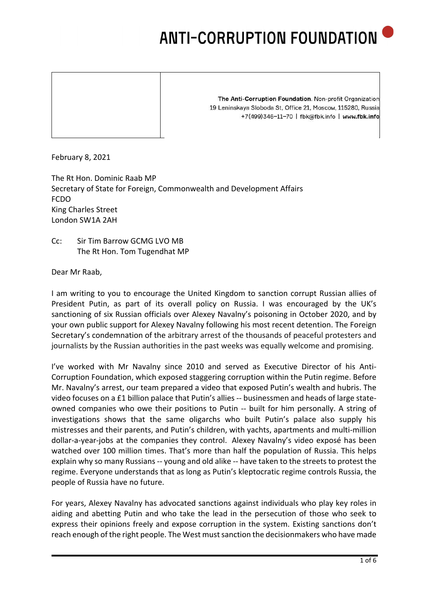The Anti-Corruption Foundation. Non-profit Organization 19 Leninskaya Sloboda St, Office 21, Moscow, 115280, Russia +7(499)346-11-70 | fbk@fbk.info | www.fbk.info

February 8, 2021

The Rt Hon. Dominic Raab MP Secretary of State for Foreign, Commonwealth and Development Affairs FCDO King Charles Street London SW1A 2AH

Cc: Sir Tim Barrow GCMG LVO MB The Rt Hon. Tom Tugendhat MP

Dear Mr Raab,

I am writing to you to encourage the United Kingdom to sanction corrupt Russian allies of President Putin, as part of its overall policy on Russia. I was encouraged by the UK's sanctioning of six Russian officials over Alexey Navalny's poisoning in October 2020, and by your own public support for Alexey Navalny following his most recent detention. The Foreign Secretary's condemnation of the arbitrary arrest of the thousands of peaceful protesters and journalists by the Russian authorities in the past weeks was equally welcome and promising.

I've worked with Mr Navalny since 2010 and served as Executive Director of his Anti-Corruption Foundation, which exposed staggering corruption within the Putin regime. Before Mr. Navalny's arrest, our team prepared a video that exposed Putin's wealth and hubris. The video focuses on a £1 billion palace that Putin's allies -- businessmen and heads of large stateowned companies who owe their positions to Putin -- built for him personally. A string of investigations shows that the same oligarchs who built Putin's palace also supply his mistresses and their parents, and Putin's children, with yachts, apartments and multi-million dollar-a-year-jobs at the companies they control. Alexey Navalny's video exposé has been watched over 100 million times. That's more than half the population of Russia. This helps explain why so many Russians -- young and old alike -- have taken to the streets to protest the regime. Everyone understands that as long as Putin's kleptocratic regime controls Russia, the people of Russia have no future.

For years, Alexey Navalny has advocated sanctions against individuals who play key roles in aiding and abetting Putin and who take the lead in the persecution of those who seek to express their opinions freely and expose corruption in the system. Existing sanctions don't reach enough of the right people. The West must sanction the decisionmakers who have made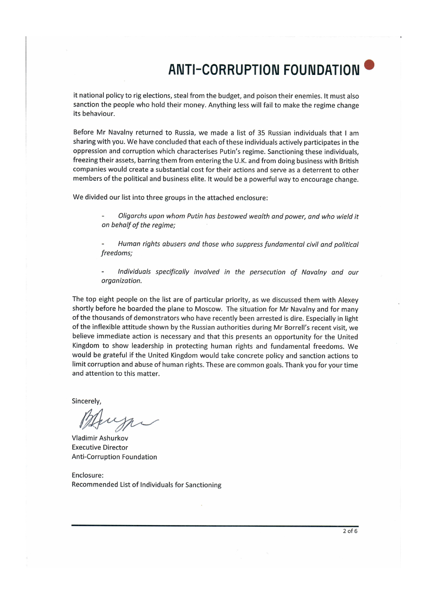it national policy to rig elections, steal from the budget, and poison their enemies. It must also sanction the people who hold their money. Anything less will fail to make the regime change its behaviour.

Before Mr Navalny returned to Russia, we made a list of 35 Russian individuals that I am sharing with you. We have concluded that each of these individuals actively participates in the oppression and corruption which characterises Putin's regime. Sanctioning these individuals, freezing their assets, barring them from entering the U.K. and from doing business with British companies would create a substantial cost for their actions and serve as a deterrent to other members of the political and business elite. It would be a powerful way to encourage change.

We divided our list into three groups in the attached enclosure:

Oligarchs upon whom Putin has bestowed wealth and power, and who wield it on behalf of the regime;

Human rights abusers and those who suppress fundamental civil and political freedoms;

Individuals specifically involved in the persecution of Navalny and our organization.

The top eight people on the list are of particular priority, as we discussed them with Alexey shortly before he boarded the plane to Moscow. The situation for Mr Navalny and for many of the thousands of demonstrators who have recently been arrested is dire. Especially in light of the inflexible attitude shown by the Russian authorities during Mr Borrell's recent visit, we believe immediate action is necessary and that this presents an opportunity for the United Kingdom to show leadership in protecting human rights and fundamental freedoms. We would be grateful if the United Kingdom would take concrete policy and sanction actions to limit corruption and abuse of human rights. These are common goals. Thank you for your time and attention to this matter.

Sincerely,

Vladimir Ashurkov **Executive Director Anti-Corruption Foundation** 

Enclosure: Recommended List of Individuals for Sanctioning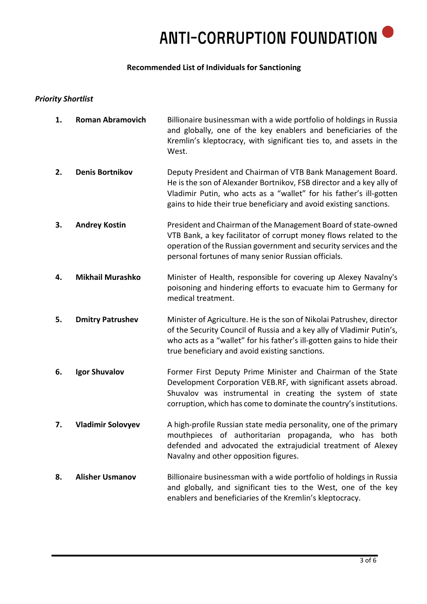#### **Recommended List of Individuals for Sanctioning**

#### *Priority Shortlist*

| 1. | <b>Roman Abramovich</b>  | Billionaire businessman with a wide portfolio of holdings in Russia<br>and globally, one of the key enablers and beneficiaries of the<br>Kremlin's kleptocracy, with significant ties to, and assets in the<br>West.                                                            |
|----|--------------------------|---------------------------------------------------------------------------------------------------------------------------------------------------------------------------------------------------------------------------------------------------------------------------------|
| 2. | <b>Denis Bortnikov</b>   | Deputy President and Chairman of VTB Bank Management Board.<br>He is the son of Alexander Bortnikov, FSB director and a key ally of<br>Vladimir Putin, who acts as a "wallet" for his father's ill-gotten<br>gains to hide their true beneficiary and avoid existing sanctions. |
| 3. | <b>Andrey Kostin</b>     | President and Chairman of the Management Board of state-owned<br>VTB Bank, a key facilitator of corrupt money flows related to the<br>operation of the Russian government and security services and the<br>personal fortunes of many senior Russian officials.                  |
| 4. | <b>Mikhail Murashko</b>  | Minister of Health, responsible for covering up Alexey Navalny's<br>poisoning and hindering efforts to evacuate him to Germany for<br>medical treatment.                                                                                                                        |
| 5. | <b>Dmitry Patrushev</b>  | Minister of Agriculture. He is the son of Nikolai Patrushev, director<br>of the Security Council of Russia and a key ally of Vladimir Putin's,<br>who acts as a "wallet" for his father's ill-gotten gains to hide their<br>true beneficiary and avoid existing sanctions.      |
| 6. | <b>Igor Shuvalov</b>     | Former First Deputy Prime Minister and Chairman of the State<br>Development Corporation VEB.RF, with significant assets abroad.<br>Shuvalov was instrumental in creating the system of state<br>corruption, which has come to dominate the country's institutions.              |
| 7. | <b>Vladimir Solovyev</b> | A high-profile Russian state media personality, one of the primary<br>mouthpieces of authoritarian propaganda, who has<br>both<br>defended and advocated the extrajudicial treatment of Alexey<br>Navalny and other opposition figures.                                         |
| 8. | <b>Alisher Usmanov</b>   | Billionaire businessman with a wide portfolio of holdings in Russia<br>and globally, and significant ties to the West, one of the key<br>enablers and beneficiaries of the Kremlin's kleptocracy.                                                                               |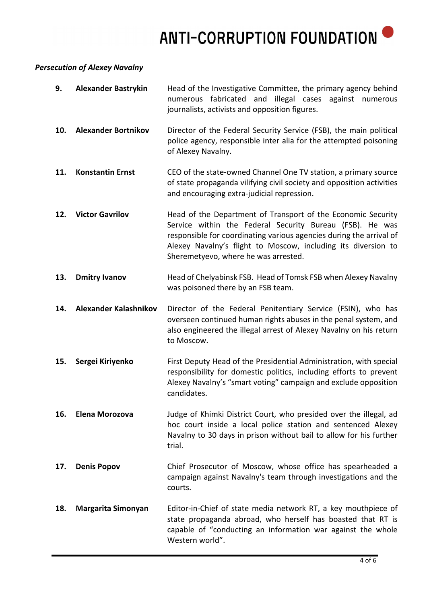### *Persecution of Alexey Navalny*

| 9.  | <b>Alexander Bastrykin</b>   | Head of the Investigative Committee, the primary agency behind<br>numerous fabricated and illegal cases against numerous<br>journalists, activists and opposition figures.                                                                                                                               |
|-----|------------------------------|----------------------------------------------------------------------------------------------------------------------------------------------------------------------------------------------------------------------------------------------------------------------------------------------------------|
| 10. | <b>Alexander Bortnikov</b>   | Director of the Federal Security Service (FSB), the main political<br>police agency, responsible inter alia for the attempted poisoning<br>of Alexey Navalny.                                                                                                                                            |
| 11. | <b>Konstantin Ernst</b>      | CEO of the state-owned Channel One TV station, a primary source<br>of state propaganda vilifying civil society and opposition activities<br>and encouraging extra-judicial repression.                                                                                                                   |
| 12. | <b>Victor Gavrilov</b>       | Head of the Department of Transport of the Economic Security<br>Service within the Federal Security Bureau (FSB). He was<br>responsible for coordinating various agencies during the arrival of<br>Alexey Navalny's flight to Moscow, including its diversion to<br>Sheremetyevo, where he was arrested. |
| 13. | <b>Dmitry Ivanov</b>         | Head of Chelyabinsk FSB. Head of Tomsk FSB when Alexey Navalny<br>was poisoned there by an FSB team.                                                                                                                                                                                                     |
| 14. | <b>Alexander Kalashnikov</b> | Director of the Federal Penitentiary Service (FSIN), who has<br>overseen continued human rights abuses in the penal system, and<br>also engineered the illegal arrest of Alexey Navalny on his return<br>to Moscow.                                                                                      |
| 15. | Sergei Kiriyenko             | First Deputy Head of the Presidential Administration, with special<br>responsibility for domestic politics, including efforts to prevent<br>Alexey Navalny's "smart voting" campaign and exclude opposition<br>candidates.                                                                               |
| 16. | Elena Morozova               | Judge of Khimki District Court, who presided over the illegal, ad<br>hoc court inside a local police station and sentenced Alexey<br>Navalny to 30 days in prison without bail to allow for his further<br>trial.                                                                                        |
| 17. | <b>Denis Popov</b>           | Chief Prosecutor of Moscow, whose office has spearheaded a<br>campaign against Navalny's team through investigations and the<br>courts.                                                                                                                                                                  |
| 18. | Margarita Simonyan           | Editor-in-Chief of state media network RT, a key mouthpiece of<br>state propaganda abroad, who herself has boasted that RT is<br>capable of "conducting an information war against the whole<br>Western world".                                                                                          |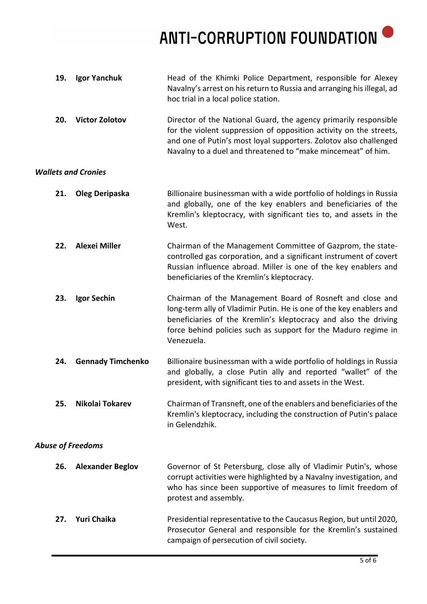ANTI-CORRUPTION FOUNDATION <sup>O</sup>

| 19. | Igor Yanchuk               | Head of the Khimki Police Department, responsible for Alexey<br>Navalny's arrest on his return to Russia and arranging his illegal, ad<br>hoc trial in a local police station.                                                                                                      |
|-----|----------------------------|-------------------------------------------------------------------------------------------------------------------------------------------------------------------------------------------------------------------------------------------------------------------------------------|
| 20. | <b>Victor Zolotov</b>      | Director of the National Guard, the agency primarily responsible<br>for the violent suppression of opposition activity on the streets,<br>and one of Putin's most loyal supporters. Zolotov also challenged<br>Navalny to a duel and threatened to "make mincemeat" of him.         |
|     | <b>Wallets and Cronies</b> |                                                                                                                                                                                                                                                                                     |
| 21. | Oleg Deripaska             | Billionaire businessman with a wide portfolio of holdings in Russia<br>and globally, one of the key enablers and beneficiaries of the<br>Kremlin's kleptocracy, with significant ties to, and assets in the<br>West.                                                                |
| 22. | <b>Alexei Miller</b>       | Chairman of the Management Committee of Gazprom, the state-<br>controlled gas corporation, and a significant instrument of covert<br>Russian influence abroad. Miller is one of the key enablers and<br>beneficiaries of the Kremlin's kleptocracy.                                 |
| 23. | Igor Sechin                | Chairman of the Management Board of Rosneft and close and<br>long-term ally of Vladimir Putin. He is one of the key enablers and<br>beneficiaries of the Kremlin's kleptocracy and also the driving<br>force behind policies such as support for the Maduro regime in<br>Venezuela. |
| 24. | <b>Gennady Timchenko</b>   | Billionaire businessman with a wide portfolio of holdings in Russia<br>and globally, a close Putin ally and reported "wallet" of the<br>president, with significant ties to and assets in the West.                                                                                 |
| 25. | Nikolai Tokarev            | Chairman of Transneft, one of the enablers and beneficiaries of the<br>Kremlin's kleptocracy, including the construction of Putin's palace<br>in Gelendzhik.                                                                                                                        |
|     | <b>Abuse of Freedoms</b>   |                                                                                                                                                                                                                                                                                     |
| 26. | <b>Alexander Beglov</b>    | Governor of St Petersburg, close ally of Vladimir Putin's, whose<br>corrupt activities were highlighted by a Navalny investigation, and<br>who has since been supportive of measures to limit freedom of<br>protest and assembly.                                                   |
| 27. | <b>Yuri Chaika</b>         | Presidential representative to the Caucasus Region, but until 2020,<br>Prosecutor General and responsible for the Kremlin's sustained<br>campaign of persecution of civil society.                                                                                                  |